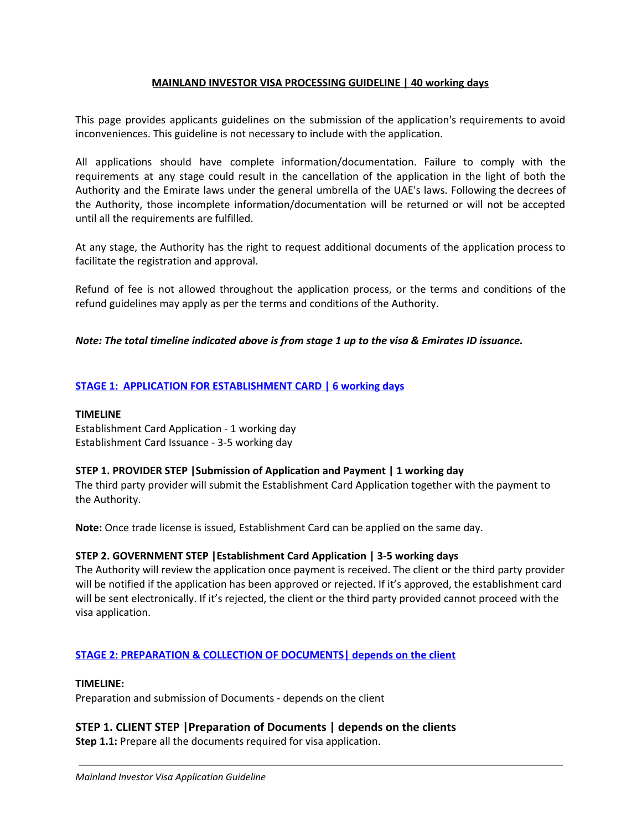#### **MAINLAND INVESTOR VISA PROCESSING GUIDELINE | 40 working days**

This page provides applicants guidelines on the submission of the application's requirements to avoid inconveniences. This guideline is not necessary to include with the application.

All applications should have complete information/documentation. Failure to comply with the requirements at any stage could result in the cancellation of the application in the light of both the Authority and the Emirate laws under the general umbrella of the UAE's laws. Following the decrees of the Authority, those incomplete information/documentation will be returned or will not be accepted until all the requirements are fulfilled.

At any stage, the Authority has the right to request additional documents of the application process to facilitate the registration and approval.

Refund of fee is not allowed throughout the application process, or the terms and conditions of the refund guidelines may apply as per the terms and conditions of the Authority.

#### *Note: The total timeline indicated above is from stage 1 up to the visa & Emirates ID issuance.*

#### **STAGE 1: APPLICATION FOR ESTABLISHMENT CARD | 6 working days**

#### **TIMELINE**

Establishment Card Application - 1 working day Establishment Card Issuance - 3-5 working day

#### **STEP 1. PROVIDER STEP |Submission of Application and Payment | 1 working day**

The third party provider will submit the Establishment Card Application together with the payment to the Authority.

**Note:** Once trade license is issued, Establishment Card can be applied on the same day.

#### **STEP 2. GOVERNMENT STEP |Establishment Card Application | 3-5 working days**

The Authority will review the application once payment is received. The client or the third party provider will be notified if the application has been approved or rejected. If it's approved, the establishment card will be sent electronically. If it's rejected, the client or the third party provided cannot proceed with the visa application.

#### **STAGE 2: PREPARATION & COLLECTION OF DOCUMENTS| depends on the client**

#### **TIMELINE:**

Preparation and submission of Documents - depends on the client

## **STEP 1. CLIENT STEP |Preparation of Documents | depends on the clients**

**Step 1.1:** Prepare all the documents required for visa application.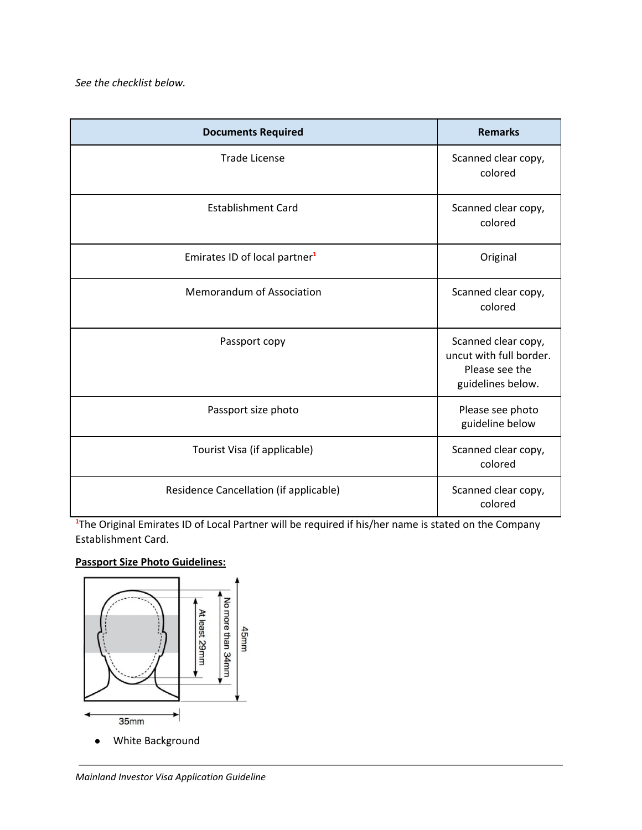| <b>Documents Required</b>                 | <b>Remarks</b>                                                                        |
|-------------------------------------------|---------------------------------------------------------------------------------------|
| <b>Trade License</b>                      | Scanned clear copy,<br>colored                                                        |
| <b>Establishment Card</b>                 | Scanned clear copy,<br>colored                                                        |
| Emirates ID of local partner <sup>1</sup> | Original                                                                              |
| Memorandum of Association                 | Scanned clear copy,<br>colored                                                        |
| Passport copy                             | Scanned clear copy,<br>uncut with full border.<br>Please see the<br>guidelines below. |
| Passport size photo                       | Please see photo<br>guideline below                                                   |
| Tourist Visa (if applicable)              | Scanned clear copy,<br>colored                                                        |
| Residence Cancellation (if applicable)    | Scanned clear copy,<br>colored                                                        |

<sup>1</sup>The Original Emirates ID of Local Partner will be required if his/her name is stated on the Company Establishment Card.

## **Passport Size Photo Guidelines:**

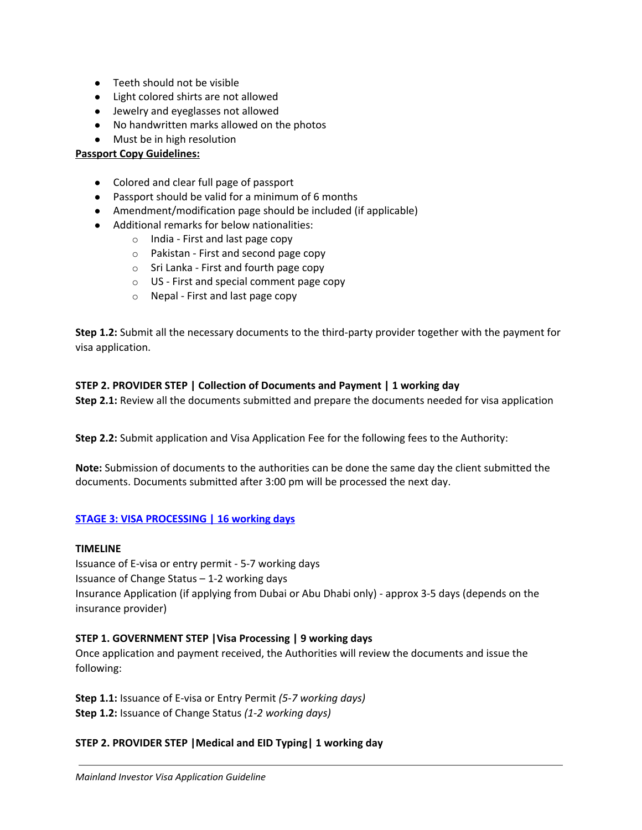- **●** Teeth should not be visible
- **●** Light colored shirts are not allowed
- **●** Jewelry and eyeglasses not allowed
- **●** No handwritten marks allowed on the photos
- **●** Must be in high resolution

#### **Passport Copy Guidelines:**

- Colored and clear full page of passport
- Passport should be valid for a minimum of 6 months
- Amendment/modification page should be included (if applicable)
- Additional remarks for below nationalities:
	- o India First and last page copy
	- o Pakistan First and second page copy
	- $\circ$  Sri Lanka First and fourth page copy
	- o US First and special comment page copy
	- o Nepal First and last page copy

**Step 1.2:** Submit all the necessary documents to the third-party provider together with the payment for visa application.

## **STEP 2. PROVIDER STEP | Collection of Documents and Payment | 1 working day**

**Step 2.1:** Review all the documents submitted and prepare the documents needed for visa application

**Step 2.2:** Submit application and Visa Application Fee for the following fees to the Authority:

**Note:** Submission of documents to the authorities can be done the same day the client submitted the documents. Documents submitted after 3:00 pm will be processed the next day.

## **STAGE 3: VISA PROCESSING | 16 working days**

#### **TIMELINE**

Issuance of E-visa or entry permit - 5-7 working days Issuance of Change Status – 1-2 working days Insurance Application (if applying from Dubai or Abu Dhabi only) - approx 3-5 days (depends on the insurance provider)

## **STEP 1. GOVERNMENT STEP |Visa Processing | 9 working days**

Once application and payment received, the Authorities will review the documents and issue the following:

**Step 1.1:** Issuance of E-visa or Entry Permit *(5-7 working days)* **Step 1.2:** Issuance of Change Status *(1-2 working days)*

## **STEP 2. PROVIDER STEP |Medical and EID Typing| 1 working day**